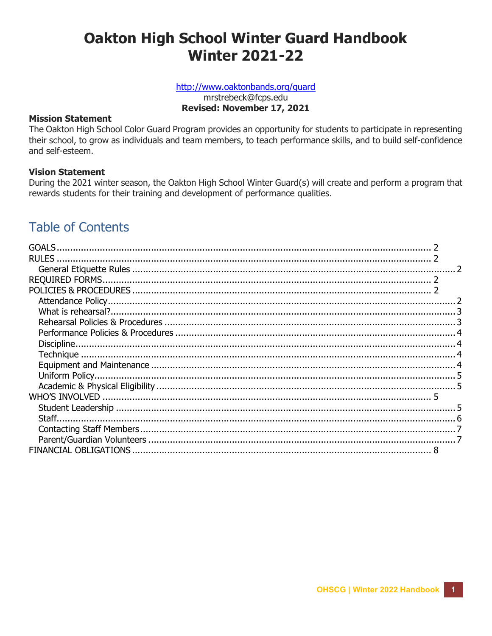# **Oakton High School Winter Guard Handbook Winter 2021-22**

# http://www.oaktonbands.org/guard

mrstrebeck@fcps.edu Revised: November 17, 2021

#### **Mission Statement**

The Oakton High School Color Guard Program provides an opportunity for students to participate in representing their school, to grow as individuals and team members, to teach performance skills, and to build self-confidence and self-esteem.

### **Vision Statement**

During the 2021 winter season, the Oakton High School Winter Guard(s) will create and perform a program that rewards students for their training and development of performance qualities.

# **Table of Contents**

| <b>GOALS</b> |  |
|--------------|--|
|              |  |
|              |  |
|              |  |
|              |  |
|              |  |
|              |  |
|              |  |
|              |  |
|              |  |
|              |  |
|              |  |
|              |  |
|              |  |
|              |  |
|              |  |
|              |  |
|              |  |
|              |  |
|              |  |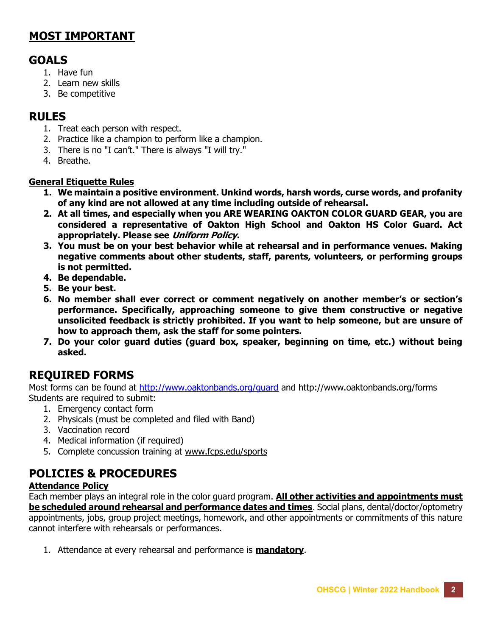# MOST IMPORTANT

# GOALS

- 1. Have fun
- 2. Learn new skills
- 3. Be competitive

# RULES

- 1. Treat each person with respect.
- 2. Practice like a champion to perform like a champion.
- 3. There is no "I can't." There is always "I will try."
- 4. Breathe.

## General Etiquette Rules

- 1. We maintain a positive environment. Unkind words, harsh words, curse words, and profanity of any kind are not allowed at any time including outside of rehearsal.
- 2. At all times, and especially when you ARE WEARING OAKTON COLOR GUARD GEAR, you are considered a representative of Oakton High School and Oakton HS Color Guard. Act appropriately. Please see Uniform Policy.
- 3. You must be on your best behavior while at rehearsal and in performance venues. Making negative comments about other students, staff, parents, volunteers, or performing groups is not permitted.
- 4. Be dependable.
- 5. Be your best.
- 6. No member shall ever correct or comment negatively on another member's or section's performance. Specifically, approaching someone to give them constructive or negative unsolicited feedback is strictly prohibited. If you want to help someone, but are unsure of how to approach them, ask the staff for some pointers.
- 7. Do your color guard duties (guard box, speaker, beginning on time, etc.) without being asked.

# REQUIRED FORMS

Most forms can be found at http://www.oaktonbands.org/guard and http://www.oaktonbands.org/forms Students are required to submit:

- 1. Emergency contact form
- 2. Physicals (must be completed and filed with Band)
- 3. Vaccination record
- 4. Medical information (if required)
- 5. Complete concussion training at www.fcps.edu/sports

# POLICIES & PROCEDURES

## Attendance Policy

Each member plays an integral role in the color guard program. All other activities and appointments must be scheduled around rehearsal and performance dates and times. Social plans, dental/doctor/optometry appointments, jobs, group project meetings, homework, and other appointments or commitments of this nature cannot interfere with rehearsals or performances.

1. Attendance at every rehearsal and performance is **mandatory**.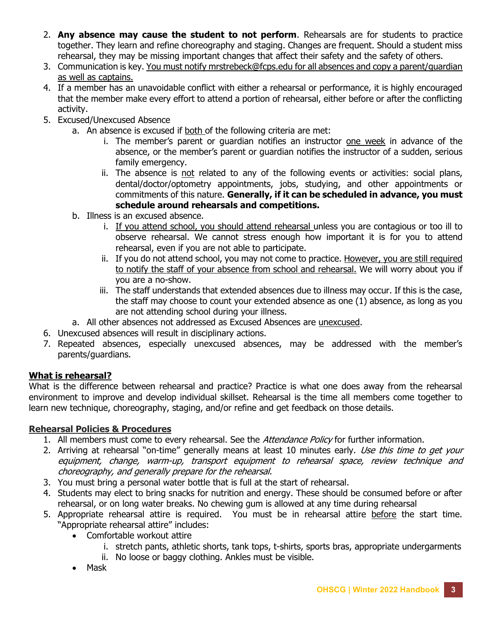- 2. Any absence may cause the student to not perform. Rehearsals are for students to practice together. They learn and refine choreography and staging. Changes are frequent. Should a student miss rehearsal, they may be missing important changes that affect their safety and the safety of others.
- 3. Communication is key. You must notify mrstrebeck@fcps.edu for all absences and copy a parent/guardian as well as captains.
- 4. If a member has an unavoidable conflict with either a rehearsal or performance, it is highly encouraged that the member make every effort to attend a portion of rehearsal, either before or after the conflicting activity.
- 5. Excused/Unexcused Absence
	- a. An absence is excused if both of the following criteria are met:
		- i. The member's parent or guardian notifies an instructor one week in advance of the absence, or the member's parent or guardian notifies the instructor of a sudden, serious family emergency.
		- ii. The absence is not related to any of the following events or activities: social plans, dental/doctor/optometry appointments, jobs, studying, and other appointments or commitments of this nature. Generally, if it can be scheduled in advance, you must schedule around rehearsals and competitions.
	- b. Illness is an excused absence.
		- i. If you attend school, you should attend rehearsal unless you are contagious or too ill to observe rehearsal. We cannot stress enough how important it is for you to attend rehearsal, even if you are not able to participate.
		- ii. If you do not attend school, you may not come to practice. However, you are still required to notify the staff of your absence from school and rehearsal. We will worry about you if you are a no-show.
		- iii. The staff understands that extended absences due to illness may occur. If this is the case, the staff may choose to count your extended absence as one (1) absence, as long as you are not attending school during your illness.
	- a. All other absences not addressed as Excused Absences are unexcused.
- 6. Unexcused absences will result in disciplinary actions.
- 7. Repeated absences, especially unexcused absences, may be addressed with the member's parents/guardians.

## What is rehearsal?

What is the difference between rehearsal and practice? Practice is what one does away from the rehearsal environment to improve and develop individual skillset. Rehearsal is the time all members come together to learn new technique, choreography, staging, and/or refine and get feedback on those details.

### Rehearsal Policies & Procedures

- 1. All members must come to every rehearsal. See the *Attendance Policy* for further information.
- 2. Arriving at rehearsal "on-time" generally means at least 10 minutes early. Use this time to get your equipment, change, warm-up, transport equipment to rehearsal space, review technique and choreography, and generally prepare for the rehearsal.
- 3. You must bring a personal water bottle that is full at the start of rehearsal.
- 4. Students may elect to bring snacks for nutrition and energy. These should be consumed before or after rehearsal, or on long water breaks. No chewing gum is allowed at any time during rehearsal
- 5. Appropriate rehearsal attire is required. You must be in rehearsal attire before the start time. "Appropriate rehearsal attire" includes:
	- Comfortable workout attire
		- i. stretch pants, athletic shorts, tank tops, t-shirts, sports bras, appropriate undergarments
		- ii. No loose or baggy clothing. Ankles must be visible.
	- Mask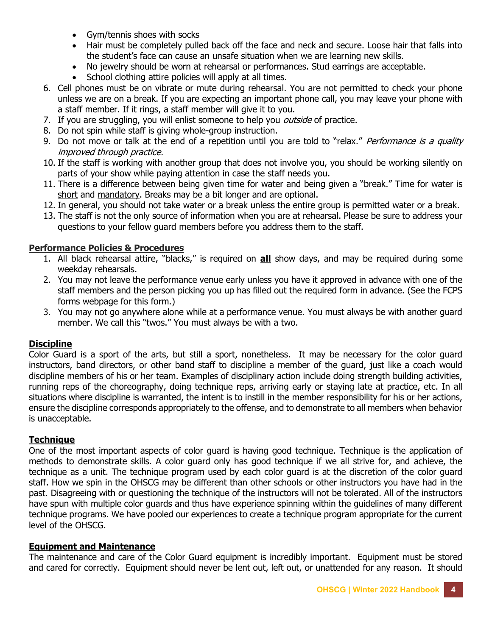- Gym/tennis shoes with socks
- Hair must be completely pulled back off the face and neck and secure. Loose hair that falls into the student's face can cause an unsafe situation when we are learning new skills.
- No jewelry should be worn at rehearsal or performances. Stud earrings are acceptable.
- School clothing attire policies will apply at all times.
- 6. Cell phones must be on vibrate or mute during rehearsal. You are not permitted to check your phone unless we are on a break. If you are expecting an important phone call, you may leave your phone with a staff member. If it rings, a staff member will give it to you.
- 7. If you are struggling, you will enlist someone to help you *outside* of practice.
- 8. Do not spin while staff is giving whole-group instruction.
- 9. Do not move or talk at the end of a repetition until you are told to "relax." Performance is a quality improved through practice.
- 10. If the staff is working with another group that does not involve you, you should be working silently on parts of your show while paying attention in case the staff needs you.
- 11. There is a difference between being given time for water and being given a "break." Time for water is short and mandatory. Breaks may be a bit longer and are optional.
- 12. In general, you should not take water or a break unless the entire group is permitted water or a break.
- 13. The staff is not the only source of information when you are at rehearsal. Please be sure to address your questions to your fellow guard members before you address them to the staff.

### Performance Policies & Procedures

- 1. All black rehearsal attire, "blacks," is required on **all** show days, and may be required during some weekday rehearsals.
- 2. You may not leave the performance venue early unless you have it approved in advance with one of the staff members and the person picking you up has filled out the required form in advance. (See the FCPS forms webpage for this form.)
- 3. You may not go anywhere alone while at a performance venue. You must always be with another guard member. We call this "twos." You must always be with a two.

#### **Discipline**

Color Guard is a sport of the arts, but still a sport, nonetheless. It may be necessary for the color guard instructors, band directors, or other band staff to discipline a member of the guard, just like a coach would discipline members of his or her team. Examples of disciplinary action include doing strength building activities, running reps of the choreography, doing technique reps, arriving early or staying late at practice, etc. In all situations where discipline is warranted, the intent is to instill in the member responsibility for his or her actions, ensure the discipline corresponds appropriately to the offense, and to demonstrate to all members when behavior is unacceptable.

#### **Technique**

One of the most important aspects of color guard is having good technique. Technique is the application of methods to demonstrate skills. A color guard only has good technique if we all strive for, and achieve, the technique as a unit. The technique program used by each color guard is at the discretion of the color guard staff. How we spin in the OHSCG may be different than other schools or other instructors you have had in the past. Disagreeing with or questioning the technique of the instructors will not be tolerated. All of the instructors have spun with multiple color guards and thus have experience spinning within the guidelines of many different technique programs. We have pooled our experiences to create a technique program appropriate for the current level of the OHSCG.

#### Equipment and Maintenance

The maintenance and care of the Color Guard equipment is incredibly important. Equipment must be stored and cared for correctly. Equipment should never be lent out, left out, or unattended for any reason. It should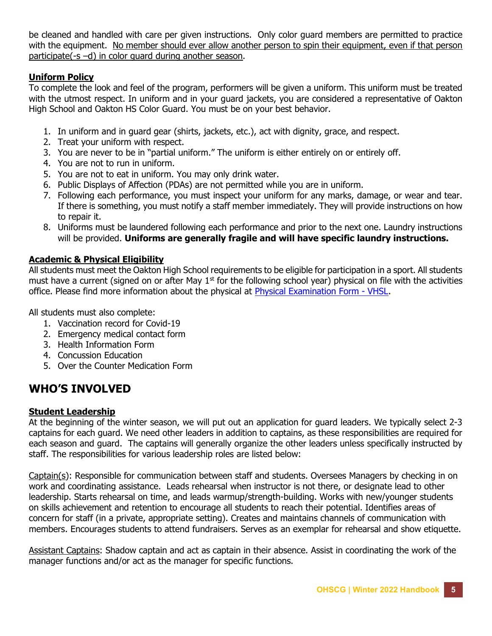be cleaned and handled with care per given instructions. Only color guard members are permitted to practice with the equipment. No member should ever allow another person to spin their equipment, even if that person participate(-s –d) in color guard during another season.

### Uniform Policy

To complete the look and feel of the program, performers will be given a uniform. This uniform must be treated with the utmost respect. In uniform and in your guard jackets, you are considered a representative of Oakton High School and Oakton HS Color Guard. You must be on your best behavior.

- 1. In uniform and in guard gear (shirts, jackets, etc.), act with dignity, grace, and respect.
- 2. Treat your uniform with respect.
- 3. You are never to be in "partial uniform." The uniform is either entirely on or entirely off.
- 4. You are not to run in uniform.
- 5. You are not to eat in uniform. You may only drink water.
- 6. Public Displays of Affection (PDAs) are not permitted while you are in uniform.
- 7. Following each performance, you must inspect your uniform for any marks, damage, or wear and tear. If there is something, you must notify a staff member immediately. They will provide instructions on how to repair it.
- 8. Uniforms must be laundered following each performance and prior to the next one. Laundry instructions will be provided. Uniforms are generally fragile and will have specific laundry instructions.

### Academic & Physical Eligibility

All students must meet the Oakton High School requirements to be eligible for participation in a sport. All students must have a current (signed on or after May  $1<sup>st</sup>$  for the following school year) physical on file with the activities office. Please find more information about the physical at Physical Examination Form - VHSL.

All students must also complete:

- 1. Vaccination record for Covid-19
- 2. Emergency medical contact form
- 3. Health Information Form
- 4. Concussion Education
- 5. Over the Counter Medication Form

# WHO'S INVOLVED

### Student Leadership

At the beginning of the winter season, we will put out an application for guard leaders. We typically select 2-3 captains for each guard. We need other leaders in addition to captains, as these responsibilities are required for each season and guard. The captains will generally organize the other leaders unless specifically instructed by staff. The responsibilities for various leadership roles are listed below:

Captain(s): Responsible for communication between staff and students. Oversees Managers by checking in on work and coordinating assistance. Leads rehearsal when instructor is not there, or designate lead to other leadership. Starts rehearsal on time, and leads warmup/strength-building. Works with new/younger students on skills achievement and retention to encourage all students to reach their potential. Identifies areas of concern for staff (in a private, appropriate setting). Creates and maintains channels of communication with members. Encourages students to attend fundraisers. Serves as an exemplar for rehearsal and show etiquette.

Assistant Captains: Shadow captain and act as captain in their absence. Assist in coordinating the work of the manager functions and/or act as the manager for specific functions.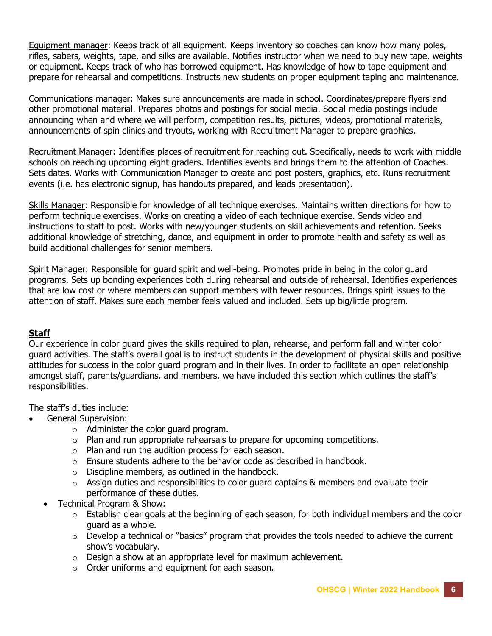Equipment manager: Keeps track of all equipment. Keeps inventory so coaches can know how many poles, rifles, sabers, weights, tape, and silks are available. Notifies instructor when we need to buy new tape, weights or equipment. Keeps track of who has borrowed equipment. Has knowledge of how to tape equipment and prepare for rehearsal and competitions. Instructs new students on proper equipment taping and maintenance.

Communications manager: Makes sure announcements are made in school. Coordinates/prepare flyers and other promotional material. Prepares photos and postings for social media. Social media postings include announcing when and where we will perform, competition results, pictures, videos, promotional materials, announcements of spin clinics and tryouts, working with Recruitment Manager to prepare graphics.

Recruitment Manager: Identifies places of recruitment for reaching out. Specifically, needs to work with middle schools on reaching upcoming eight graders. Identifies events and brings them to the attention of Coaches. Sets dates. Works with Communication Manager to create and post posters, graphics, etc. Runs recruitment events (i.e. has electronic signup, has handouts prepared, and leads presentation).

Skills Manager: Responsible for knowledge of all technique exercises. Maintains written directions for how to perform technique exercises. Works on creating a video of each technique exercise. Sends video and instructions to staff to post. Works with new/younger students on skill achievements and retention. Seeks additional knowledge of stretching, dance, and equipment in order to promote health and safety as well as build additional challenges for senior members.

Spirit Manager: Responsible for guard spirit and well-being. Promotes pride in being in the color guard programs. Sets up bonding experiences both during rehearsal and outside of rehearsal. Identifies experiences that are low cost or where members can support members with fewer resources. Brings spirit issues to the attention of staff. Makes sure each member feels valued and included. Sets up big/little program.

### **Staff**

Our experience in color guard gives the skills required to plan, rehearse, and perform fall and winter color guard activities. The staff's overall goal is to instruct students in the development of physical skills and positive attitudes for success in the color guard program and in their lives. In order to facilitate an open relationship amongst staff, parents/guardians, and members, we have included this section which outlines the staff's responsibilities.

The staff's duties include:

- General Supervision:
	- o Administer the color guard program.
	- o Plan and run appropriate rehearsals to prepare for upcoming competitions.
	- o Plan and run the audition process for each season.
	- $\circ$  Ensure students adhere to the behavior code as described in handbook.
	- o Discipline members, as outlined in the handbook.
	- $\circ$  Assign duties and responsibilities to color guard captains & members and evaluate their performance of these duties.
	- Technical Program & Show:
		- $\circ$  Establish clear goals at the beginning of each season, for both individual members and the color guard as a whole.
		- $\circ$  Develop a technical or "basics" program that provides the tools needed to achieve the current show's vocabulary.
		- $\circ$  Design a show at an appropriate level for maximum achievement.
		- o Order uniforms and equipment for each season.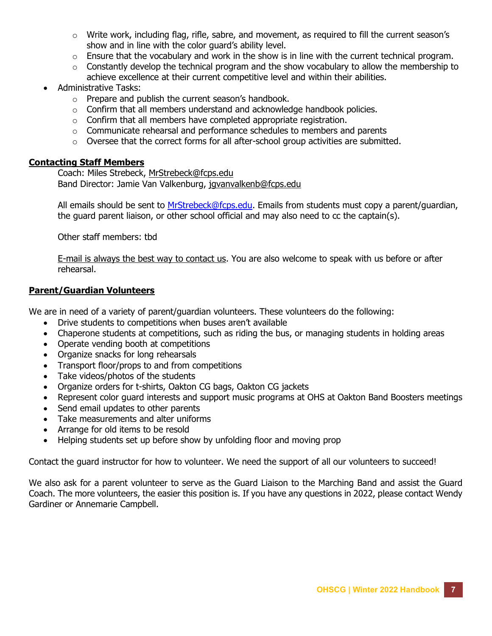- $\circ$  Write work, including flag, rifle, sabre, and movement, as required to fill the current season's show and in line with the color guard's ability level.
- $\circ$  Ensure that the vocabulary and work in the show is in line with the current technical program.
- $\circ$  Constantly develop the technical program and the show vocabulary to allow the membership to achieve excellence at their current competitive level and within their abilities.
- Administrative Tasks:
	- o Prepare and publish the current season's handbook.
	- o Confirm that all members understand and acknowledge handbook policies.
	- $\circ$  Confirm that all members have completed appropriate registration.
	- $\circ$  Communicate rehearsal and performance schedules to members and parents
	- o Oversee that the correct forms for all after-school group activities are submitted.

#### Contacting Staff Members

Coach: Miles Strebeck, MrStrebeck@fcps.edu Band Director: Jamie Van Valkenburg, jgvanvalkenb@fcps.edu

All emails should be sent to MrStrebeck@fcps.edu. Emails from students must copy a parent/quardian, the guard parent liaison, or other school official and may also need to cc the captain(s).

Other staff members: tbd

E-mail is always the best way to contact us. You are also welcome to speak with us before or after rehearsal.

#### Parent/Guardian Volunteers

We are in need of a variety of parent/guardian volunteers. These volunteers do the following:

- Drive students to competitions when buses aren't available
- Chaperone students at competitions, such as riding the bus, or managing students in holding areas
- Operate vending booth at competitions
- Organize snacks for long rehearsals
- Transport floor/props to and from competitions
- Take videos/photos of the students
- Organize orders for t-shirts, Oakton CG bags, Oakton CG jackets
- Represent color guard interests and support music programs at OHS at Oakton Band Boosters meetings
- Send email updates to other parents
- Take measurements and alter uniforms
- Arrange for old items to be resold
- Helping students set up before show by unfolding floor and moving prop

Contact the guard instructor for how to volunteer. We need the support of all our volunteers to succeed!

We also ask for a parent volunteer to serve as the Guard Liaison to the Marching Band and assist the Guard Coach. The more volunteers, the easier this position is. If you have any questions in 2022, please contact Wendy Gardiner or Annemarie Campbell.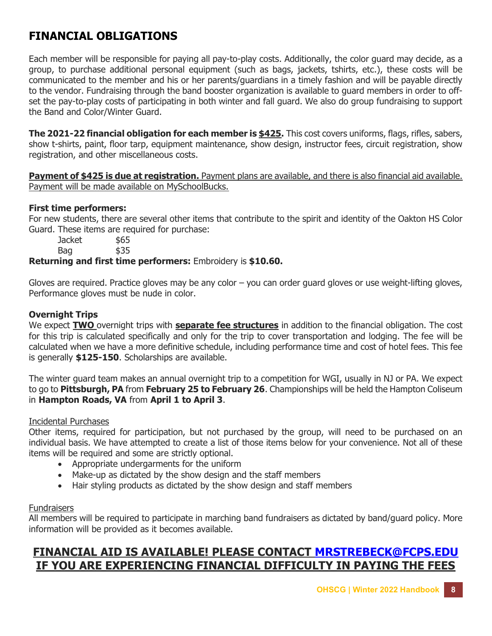# FINANCIAL OBLIGATIONS

Each member will be responsible for paying all pay-to-play costs. Additionally, the color guard may decide, as a group, to purchase additional personal equipment (such as bags, jackets, tshirts, etc.), these costs will be communicated to the member and his or her parents/guardians in a timely fashion and will be payable directly to the vendor. Fundraising through the band booster organization is available to guard members in order to offset the pay-to-play costs of participating in both winter and fall guard. We also do group fundraising to support the Band and Color/Winter Guard.

The 2021-22 financial obligation for each member is \$425. This cost covers uniforms, flags, rifles, sabers, show t-shirts, paint, floor tarp, equipment maintenance, show design, instructor fees, circuit registration, show registration, and other miscellaneous costs.

**Payment of \$425 is due at registration.** Payment plans are available, and there is also financial aid available. Payment will be made available on MySchoolBucks.

### First time performers:

For new students, there are several other items that contribute to the spirit and identity of the Oakton HS Color Guard. These items are required for purchase:

Jacket \$65 Bag \$35

#### Returning and first time performers: Embroidery is \$10.60.

Gloves are required. Practice gloves may be any color – you can order guard gloves or use weight-lifting gloves, Performance gloves must be nude in color.

#### Overnight Trips

We expect **TWO** overnight trips with **separate fee structures** in addition to the financial obligation. The cost for this trip is calculated specifically and only for the trip to cover transportation and lodging. The fee will be calculated when we have a more definitive schedule, including performance time and cost of hotel fees. This fee is generally \$125-150. Scholarships are available.

The winter guard team makes an annual overnight trip to a competition for WGI, usually in NJ or PA. We expect to go to Pittsburgh, PA from February 25 to February 26. Championships will be held the Hampton Coliseum in Hampton Roads, VA from April 1 to April 3.

#### Incidental Purchases

Other items, required for participation, but not purchased by the group, will need to be purchased on an individual basis. We have attempted to create a list of those items below for your convenience. Not all of these items will be required and some are strictly optional.

- Appropriate undergarments for the uniform
- Make-up as dictated by the show design and the staff members
- Hair styling products as dictated by the show design and staff members

#### **Fundraisers**

All members will be required to participate in marching band fundraisers as dictated by band/guard policy. More information will be provided as it becomes available.

# FINANCIAL AID IS AVAILABLE! PLEASE CONTACT MRSTREBECK@FCPS.EDU IF YOU ARE EXPERIENCING FINANCIAL DIFFICULTY IN PAYING THE FEES